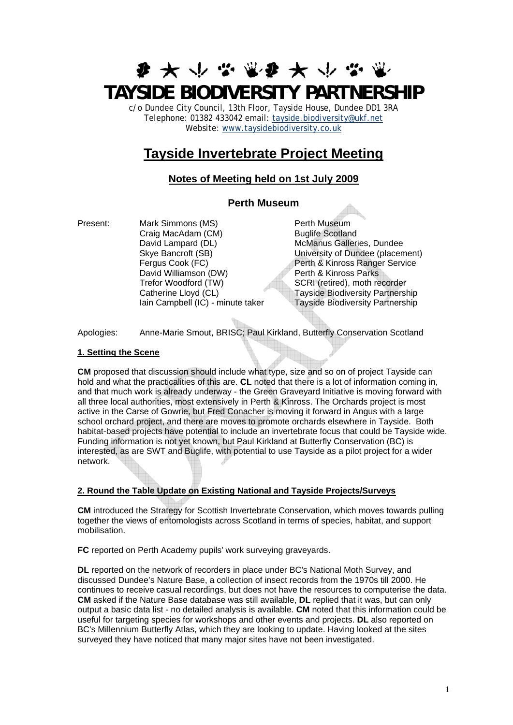# **ま 大 小 る 電 ま 大 い る TAYSIDE BIODIVERSITY PARTNERSHIP**

c/o Dundee City Council, 13th Floor, Tayside House, Dundee DD1 3RA Telephone: 01382 433042 email: [tayside.biodiversity@ukf.net](mailto:tayside.biodiversity@ukf.net)  Website: [www.taysidebiodiversity.co.uk](http://www.taysidebiodiversity.co.uk/)

# **Tayside Invertebrate Project Meeting**

# **Notes of Meeting held on 1st July 2009**

# **Perth Museum**

Present: Mark Simmons (MS) Perth Museum<br>Craig MacAdam (CM) Buglife Scotland Craig MacAdam (CM) David Lampard (DL) McManus Galleries, Dundee Skye Bancroft (SB) University of Dundee (placement) Fergus Cook (FC) **Perth & Kinross Ranger Service** David Williamson (DW) Perth & Kinross Parks Trefor Woodford (TW) SCRI (retired), moth recorder Catherine Lloyd (CL) Tayside Biodiversity Partnership Iain Campbell (IC) - minute taker Tayside Biodiversity Partnership

Apologies: Anne-Marie Smout, BRISC; Paul Kirkland, Butterfly Conservation Scotland

# **1. Setting the Scene**

**CM** proposed that discussion should include what type, size and so on of project Tayside can hold and what the practicalities of this are. **CL** noted that there is a lot of information coming in, and that much work is already underway - the Green Graveyard Initiative is moving forward with all three local authorities, most extensively in Perth & Kinross. The Orchards project is most active in the Carse of Gowrie, but Fred Conacher is moving it forward in Angus with a large school orchard project, and there are moves to promote orchards elsewhere in Tayside. Both habitat-based projects have potential to include an invertebrate focus that could be Tayside wide. Funding information is not yet known, but Paul Kirkland at Butterfly Conservation (BC) is interested, as are SWT and Buglife, with potential to use Tayside as a pilot project for a wider network.

# **2. Round the Table Update on Existing National and Tayside Projects/Surveys**

**CM** introduced the Strategy for Scottish Invertebrate Conservation, which moves towards pulling together the views of entomologists across Scotland in terms of species, habitat, and support mobilisation.

**FC** reported on Perth Academy pupils' work surveying graveyards.

**DL** reported on the network of recorders in place under BC's National Moth Survey, and discussed Dundee's Nature Base, a collection of insect records from the 1970s till 2000. He continues to receive casual recordings, but does not have the resources to computerise the data. **CM** asked if the Nature Base database was still available, **DL** replied that it was, but can only output a basic data list - no detailed analysis is available. **CM** noted that this information could be useful for targeting species for workshops and other events and projects. **DL** also reported on BC's Millennium Butterfly Atlas, which they are looking to update. Having looked at the sites surveyed they have noticed that many major sites have not been investigated.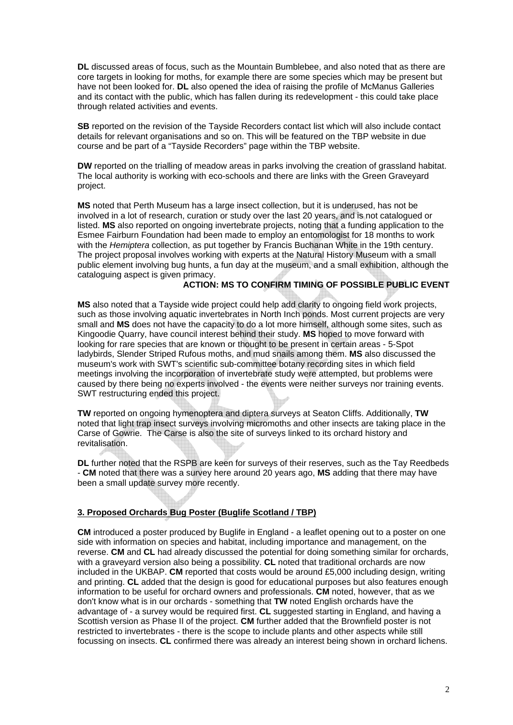**DL** discussed areas of focus, such as the Mountain Bumblebee, and also noted that as there are core targets in looking for moths, for example there are some species which may be present but have not been looked for. **DL** also opened the idea of raising the profile of McManus Galleries and its contact with the public, which has fallen during its redevelopment - this could take place through related activities and events.

**SB** reported on the revision of the Tayside Recorders contact list which will also include contact details for relevant organisations and so on. This will be featured on the TBP website in due course and be part of a "Tayside Recorders" page within the TBP website.

**DW** reported on the trialling of meadow areas in parks involving the creation of grassland habitat. The local authority is working with eco-schools and there are links with the Green Graveyard project.

**MS** noted that Perth Museum has a large insect collection, but it is underused, has not be involved in a lot of research, curation or study over the last 20 years, and is not catalogued or listed. **MS** also reported on ongoing invertebrate projects, noting that a funding application to the Esmee Fairburn Foundation had been made to employ an entomologist for 18 months to work with the *Hemiptera* collection, as put together by Francis Buchanan White in the 19th century. The project proposal involves working with experts at the Natural History Museum with a small public element involving bug hunts, a fun day at the museum, and a small exhibition, although the cataloguing aspect is given primacy.

#### **ACTION: MS TO CONFIRM TIMING OF POSSIBLE PUBLIC EVENT**

**MS** also noted that a Tayside wide project could help add clarity to ongoing field work projects, such as those involving aquatic invertebrates in North Inch ponds. Most current projects are very small and **MS** does not have the capacity to do a lot more himself, although some sites, such as Kingoodie Quarry, have council interest behind their study. **MS** hoped to move forward with looking for rare species that are known or thought to be present in certain areas - 5-Spot ladybirds, Slender Striped Rufous moths, and mud snails among them. **MS** also discussed the museum's work with SWT's scientific sub-committee botany recording sites in which field meetings involving the incorporation of invertebrate study were attempted, but problems were caused by there being no experts involved - the events were neither surveys nor training events. SWT restructuring ended this project.

**TW** reported on ongoing hymenoptera and diptera surveys at Seaton Cliffs. Additionally, **TW** noted that light trap insect surveys involving micromoths and other insects are taking place in the Carse of Gowrie. The Carse is also the site of surveys linked to its orchard history and revitalisation.

**DL** further noted that the RSPB are keen for surveys of their reserves, such as the Tay Reedbeds - **CM** noted that there was a survey here around 20 years ago, **MS** adding that there may have been a small update survey more recently.

#### **3. Proposed Orchards Bug Poster (Buglife Scotland / TBP)**

**CM** introduced a poster produced by Buglife in England - a leaflet opening out to a poster on one side with information on species and habitat, including importance and management, on the reverse. **CM** and **CL** had already discussed the potential for doing something similar for orchards, with a graveyard version also being a possibility. **CL** noted that traditional orchards are now included in the UKBAP. **CM** reported that costs would be around £5,000 including design, writing and printing. **CL** added that the design is good for educational purposes but also features enough information to be useful for orchard owners and professionals. **CM** noted, however, that as we don't know what is in our orchards - something that **TW** noted English orchards have the advantage of - a survey would be required first. **CL** suggested starting in England, and having a Scottish version as Phase II of the project. **CM** further added that the Brownfield poster is not restricted to invertebrates - there is the scope to include plants and other aspects while still focussing on insects. **CL** confirmed there was already an interest being shown in orchard lichens.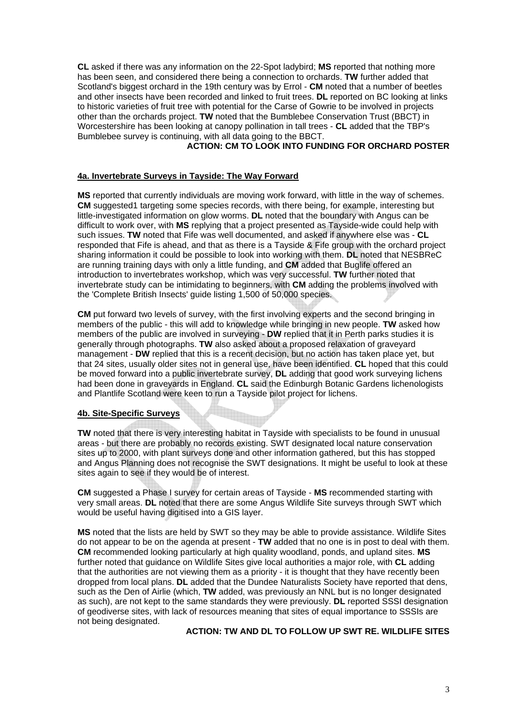**CL** asked if there was any information on the 22-Spot ladybird; **MS** reported that nothing more has been seen, and considered there being a connection to orchards. **TW** further added that Scotland's biggest orchard in the 19th century was by Errol - **CM** noted that a number of beetles and other insects have been recorded and linked to fruit trees. **DL** reported on BC looking at links to historic varieties of fruit tree with potential for the Carse of Gowrie to be involved in projects other than the orchards project. **TW** noted that the Bumblebee Conservation Trust (BBCT) in Worcestershire has been looking at canopy pollination in tall trees - **CL** added that the TBP's Bumblebee survey is continuing, with all data going to the BBCT.

# **ACTION: CM TO LOOK INTO FUNDING FOR ORCHARD POSTER**

#### **4a. Invertebrate Surveys in Tayside: The Way Forward**

**MS** reported that currently individuals are moving work forward, with little in the way of schemes. **CM** suggested1 targeting some species records, with there being, for example, interesting but little-investigated information on glow worms. **DL** noted that the boundary with Angus can be difficult to work over, with **MS** replying that a project presented as Tayside-wide could help with such issues. **TW** noted that Fife was well documented, and asked if anywhere else was - **CL** responded that Fife is ahead, and that as there is a Tayside & Fife group with the orchard project sharing information it could be possible to look into working with them. **DL** noted that NESBReC are running training days with only a little funding, and **CM** added that Buglife offered an introduction to invertebrates workshop, which was very successful. **TW** further noted that invertebrate study can be intimidating to beginners, with **CM** adding the problems involved with the 'Complete British Insects' guide listing 1,500 of 50,000 species.

**CM** put forward two levels of survey, with the first involving experts and the second bringing in members of the public - this will add to knowledge while bringing in new people. **TW** asked how members of the public are involved in surveying - **DW** replied that it in Perth parks studies it is generally through photographs. **TW** also asked about a proposed relaxation of graveyard management - **DW** replied that this is a recent decision, but no action has taken place yet, but that 24 sites, usually older sites not in general use, have been identified. **CL** hoped that this could be moved forward into a public invertebrate survey, **DL** adding that good work surveying lichens had been done in graveyards in England. **CL** said the Edinburgh Botanic Gardens lichenologists and Plantlife Scotland were keen to run a Tayside pilot project for lichens.

#### **4b. Site-Specific Surveys**

**TW** noted that there is very interesting habitat in Tayside with specialists to be found in unusual areas - but there are probably no records existing. SWT designated local nature conservation sites up to 2000, with plant surveys done and other information gathered, but this has stopped and Angus Planning does not recognise the SWT designations. It might be useful to look at these sites again to see if they would be of interest.

**CM** suggested a Phase I survey for certain areas of Tayside - **MS** recommended starting with very small areas. **DL** noted that there are some Angus Wildlife Site surveys through SWT which would be useful having digitised into a GIS layer.

**MS** noted that the lists are held by SWT so they may be able to provide assistance. Wildlife Sites do not appear to be on the agenda at present - **TW** added that no one is in post to deal with them. **CM** recommended looking particularly at high quality woodland, ponds, and upland sites. **MS** further noted that guidance on Wildlife Sites give local authorities a major role, with **CL** adding that the authorities are not viewing them as a priority - it is thought that they have recently been dropped from local plans. **DL** added that the Dundee Naturalists Society have reported that dens, such as the Den of Airlie (which, **TW** added, was previously an NNL but is no longer designated as such), are not kept to the same standards they were previously. **DL** reported SSSI designation of geodiverse sites, with lack of resources meaning that sites of equal importance to SSSIs are not being designated.

**ACTION: TW AND DL TO FOLLOW UP SWT RE. WILDLIFE SITES**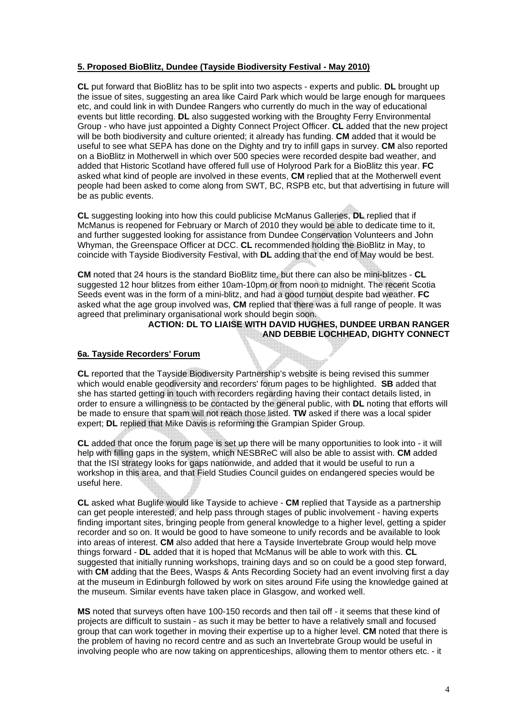## **5. Proposed BioBlitz, Dundee (Tayside Biodiversity Festival - May 2010)**

**CL** put forward that BioBlitz has to be split into two aspects - experts and public. **DL** brought up the issue of sites, suggesting an area like Caird Park which would be large enough for marquees etc, and could link in with Dundee Rangers who currently do much in the way of educational events but little recording. **DL** also suggested working with the Broughty Ferry Environmental Group - who have just appointed a Dighty Connect Project Officer. **CL** added that the new project will be both biodiversity and culture oriented; it already has funding. **CM** added that it would be useful to see what SEPA has done on the Dighty and try to infill gaps in survey. **CM** also reported on a BioBlitz in Motherwell in which over 500 species were recorded despite bad weather, and added that Historic Scotland have offered full use of Holyrood Park for a BioBlitz this year. **FC** asked what kind of people are involved in these events, **CM** replied that at the Motherwell event people had been asked to come along from SWT, BC, RSPB etc, but that advertising in future will be as public events.

**CL** suggesting looking into how this could publicise McManus Galleries, **DL** replied that if McManus is reopened for February or March of 2010 they would be able to dedicate time to it, and further suggested looking for assistance from Dundee Conservation Volunteers and John Whyman, the Greenspace Officer at DCC. **CL** recommended holding the BioBlitz in May, to coincide with Tayside Biodiversity Festival, with **DL** adding that the end of May would be best.

**CM** noted that 24 hours is the standard BioBlitz time, but there can also be mini-blitzes - **CL** suggested 12 hour blitzes from either 10am-10pm or from noon to midnight. The recent Scotia Seeds event was in the form of a mini-blitz, and had a good turnout despite bad weather. **FC** asked what the age group involved was, **CM** replied that there was a full range of people. It was agreed that preliminary organisational work should begin soon.

#### **ACTION: DL TO LIAISE WITH DAVID HUGHES, DUNDEE URBAN RANGER AND DEBBIE LOCHHEAD, DIGHTY CONNECT**

#### **6a. Tayside Recorders' Forum**

**CL** reported that the Tayside Biodiversity Partnership's website is being revised this summer which would enable geodiversity and recorders' forum pages to be highlighted. **SB** added that she has started getting in touch with recorders regarding having their contact details listed, in order to ensure a willingness to be contacted by the general public, with **DL** noting that efforts will be made to ensure that spam will not reach those listed. **TW** asked if there was a local spider expert; **DL** replied that Mike Davis is reforming the Grampian Spider Group.

**CL** added that once the forum page is set up there will be many opportunities to look into - it will help with filling gaps in the system, which NESBReC will also be able to assist with. **CM** added that the ISI strategy looks for gaps nationwide, and added that it would be useful to run a workshop in this area, and that Field Studies Council guides on endangered species would be useful here.

**CL** asked what Buglife would like Tayside to achieve - **CM** replied that Tayside as a partnership can get people interested, and help pass through stages of public involvement - having experts finding important sites, bringing people from general knowledge to a higher level, getting a spider recorder and so on. It would be good to have someone to unify records and be available to look into areas of interest. **CM** also added that here a Tayside Invertebrate Group would help move things forward - **DL** added that it is hoped that McManus will be able to work with this. **CL** suggested that initially running workshops, training days and so on could be a good step forward, with **CM** adding that the Bees, Wasps & Ants Recording Society had an event involving first a day at the museum in Edinburgh followed by work on sites around Fife using the knowledge gained at the museum. Similar events have taken place in Glasgow, and worked well.

**MS** noted that surveys often have 100-150 records and then tail off - it seems that these kind of projects are difficult to sustain - as such it may be better to have a relatively small and focused group that can work together in moving their expertise up to a higher level. **CM** noted that there is the problem of having no record centre and as such an Invertebrate Group would be useful in involving people who are now taking on apprenticeships, allowing them to mentor others etc. - it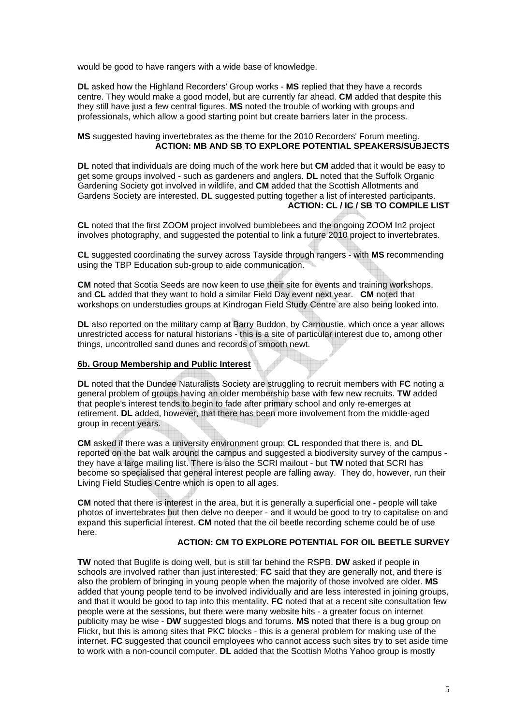would be good to have rangers with a wide base of knowledge.

**DL** asked how the Highland Recorders' Group works - **MS** replied that they have a records centre. They would make a good model, but are currently far ahead. **CM** added that despite this they still have just a few central figures. **MS** noted the trouble of working with groups and professionals, which allow a good starting point but create barriers later in the process.

#### **MS** suggested having invertebrates as the theme for the 2010 Recorders' Forum meeting. **ACTION: MB AND SB TO EXPLORE POTENTIAL SPEAKERS/SUBJECTS**

**DL** noted that individuals are doing much of the work here but **CM** added that it would be easy to get some groups involved - such as gardeners and anglers. **DL** noted that the Suffolk Organic Gardening Society got involved in wildlife, and **CM** added that the Scottish Allotments and Gardens Society are interested. **DL** suggested putting together a list of interested participants. **ACTION: CL / IC / SB TO COMPILE LIST** 

**CL** noted that the first ZOOM project involved bumblebees and the ongoing ZOOM In2 project involves photography, and suggested the potential to link a future 2010 project to invertebrates.

**CL** suggested coordinating the survey across Tayside through rangers - with **MS** recommending using the TBP Education sub-group to aide communication.

**CM** noted that Scotia Seeds are now keen to use their site for events and training workshops, and **CL** added that they want to hold a similar Field Day event next year. **CM** noted that workshops on understudies groups at Kindrogan Field Study Centre are also being looked into.

**DL** also reported on the military camp at Barry Buddon, by Carnoustie, which once a year allows unrestricted access for natural historians - this is a site of particular interest due to, among other things, uncontrolled sand dunes and records of smooth newt.

#### **6b. Group Membership and Public Interest**

**DL** noted that the Dundee Naturalists Society are struggling to recruit members with **FC** noting a general problem of groups having an older membership base with few new recruits. **TW** added that people's interest tends to begin to fade after primary school and only re-emerges at retirement. **DL** added, however, that there has been more involvement from the middle-aged group in recent years.

**CM** asked if there was a university environment group; **CL** responded that there is, and **DL** reported on the bat walk around the campus and suggested a biodiversity survey of the campus they have a large mailing list. There is also the SCRI mailout - but **TW** noted that SCRI has become so specialised that general interest people are falling away. They do, however, run their Living Field Studies Centre which is open to all ages.

**CM** noted that there is interest in the area, but it is generally a superficial one - people will take photos of invertebrates but then delve no deeper - and it would be good to try to capitalise on and expand this superficial interest. **CM** noted that the oil beetle recording scheme could be of use here.

#### **ACTION: CM TO EXPLORE POTENTIAL FOR OIL BEETLE SURVEY**

**TW** noted that Buglife is doing well, but is still far behind the RSPB. **DW** asked if people in schools are involved rather than just interested; **FC** said that they are generally not, and there is also the problem of bringing in young people when the majority of those involved are older. **MS** added that young people tend to be involved individually and are less interested in joining groups, and that it would be good to tap into this mentality. **FC** noted that at a recent site consultation few people were at the sessions, but there were many website hits - a greater focus on internet publicity may be wise - **DW** suggested blogs and forums. **MS** noted that there is a bug group on Flickr, but this is among sites that PKC blocks - this is a general problem for making use of the internet. **FC** suggested that council employees who cannot access such sites try to set aside time to work with a non-council computer. **DL** added that the Scottish Moths Yahoo group is mostly